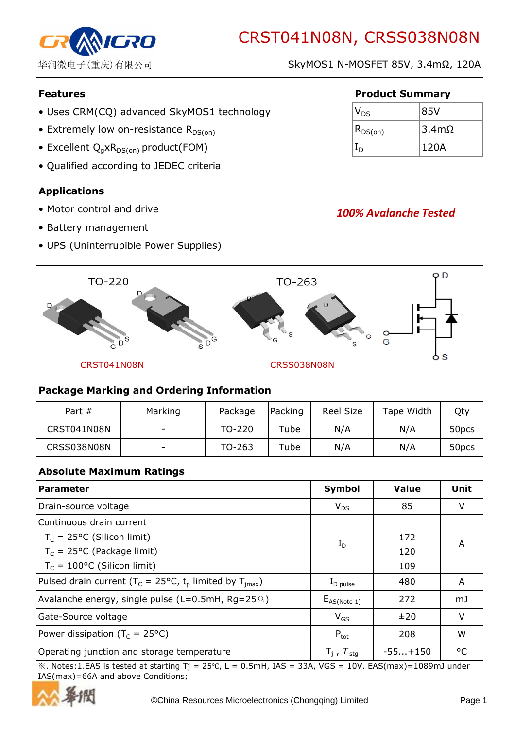

华润微电子(重庆)有限公司 SkyMOS1 N-MOSFET 85V, 3.4mΩ, 120A

- Uses CRM(CQ) advanced SkyMOS1 technology
- Extremely low on-resistance  $R_{DS(on)}$
- Excellent  $Q_qxR_{DS(on)}$  product(FOM)
- Qualified according to JEDEC criteria

# Applications

- Motor control and drive
- Battery management
- UPS (Uninterrupible Power Supplies)

### Features **Product Summary**

| $ V_{DS} $    | 85V          |
|---------------|--------------|
| $ R_{DS(on)}$ | $3.4m\Omega$ |
|               | 120A         |

# 100% Avalanche Tested



### Package Marking and Ordering Information

| Part $#$    | Marking | Package | Packing | Reel Size | Tape Width | Qty               |
|-------------|---------|---------|---------|-----------|------------|-------------------|
| CRST041N08N | -       | TO-220  | Tube    | N/A       | N/A        | 50 <sub>pcs</sub> |
| CRSS038N08N |         | TO-263  | Tube    | N/A       | N/A        | 50 <sub>pcs</sub> |

### Absolute Maximum Ratings

| <b>Parameter</b>                                                           | Symbol                   | <b>Value</b> | Unit    |
|----------------------------------------------------------------------------|--------------------------|--------------|---------|
| Drain-source voltage                                                       | $V_{DS}$                 | 85           | V       |
| Continuous drain current                                                   |                          |              |         |
| $T_c = 25$ °C (Silicon limit)                                              | $I_D$                    | 172          | A       |
| $T_c = 25$ °C (Package limit)                                              |                          | 120          |         |
| $T_c = 100$ °C (Silicon limit)                                             |                          | 109          |         |
| Pulsed drain current ( $T_c = 25^{\circ}C$ , $t_p$ limited by $T_{imax}$ ) | $\rm I_{D\ pulse}$       | 480          | A       |
| Avalanche energy, single pulse ( $L=0.5$ mH, Rg=25 $\Omega$ )              | $E_{AS(Note 1)}$         | 272          | mJ      |
| Gate-Source voltage                                                        | $V_{GS}$                 | ±20          | v       |
| Power dissipation ( $T_c = 25^{\circ}C$ )                                  | $P_{\text{tot}}$         | 208          | W       |
| Operating junction and storage temperature                                 | $T_i$ , $T_{\text{stg}}$ | $-55+150$    | $\circ$ |

※. Notes:1.EAS is tested at starting Tj = 25℃, L = 0.5mH, IAS = 33A, VGS = 10V. EAS(max)=1089mJ under IAS(max)=66A and above Conditions;

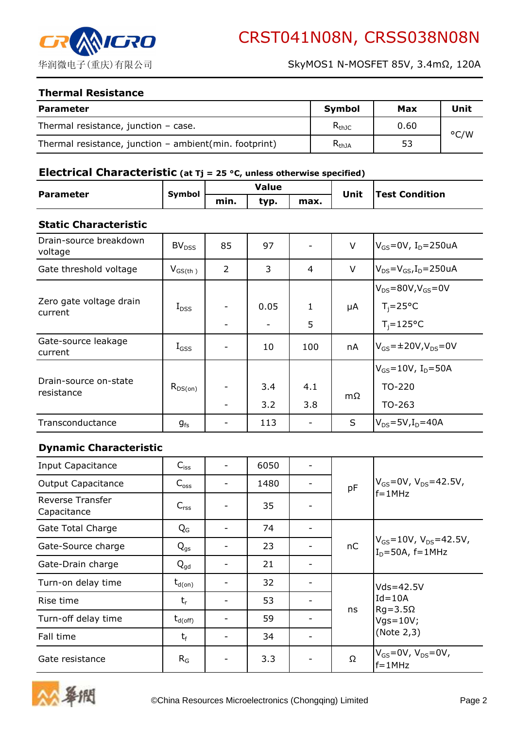

#### Thermal Resistance

| <b>Parameter</b>                                         | Symbol     | Max  | <b>Unit</b> |
|----------------------------------------------------------|------------|------|-------------|
| Thermal resistance, junction $-$ case.                   | $R_{thJC}$ | 0.60 | °C/W        |
| Thermal resistance, junction $-$ ambient(min. footprint) | $R_{thJA}$ | 53   |             |

### Electrical Characteristic (at  $Tj = 25$  °C, unless otherwise specified)

| <b>Parameter</b> | <b>Symbol</b> |      | <b>Value</b> |      | Unit | <b>Test Condition</b> |
|------------------|---------------|------|--------------|------|------|-----------------------|
|                  |               | min. | tvp.         | max. |      |                       |

#### Static Characteristic

| Drain-source breakdown<br>voltage   | BV <sub>DSS</sub> | 85             | 97   |              | $\vee$ | $V_{GS}$ =0V, I <sub>D</sub> =250uA  |
|-------------------------------------|-------------------|----------------|------|--------------|--------|--------------------------------------|
| Gate threshold voltage              | $V_{GS(th)}$      | $\overline{2}$ | 3    | 4            | $\vee$ | $V_{DS} = V_{GS}I_D = 250uA$         |
|                                     |                   |                |      |              |        | $V_{DS} = 80V, V_{GS} = 0V$          |
| Zero gate voltage drain<br>current  | $I_{DSS}$         |                | 0.05 | $\mathbf{1}$ | μA     | $T_i = 25^{\circ}C$                  |
|                                     |                   |                |      | 5            |        | $T_i = 125$ °C                       |
| Gate-source leakage<br>current      | $I_{GSS}$         |                | 10   | 100          | nA     | $V_{GS}$ =±20V,V <sub>DS</sub> =0V   |
|                                     |                   |                |      |              |        | $V_{GS} = 10V$ , I <sub>D</sub> =50A |
| Drain-source on-state<br>resistance | $R_{DS(on)}$      |                | 3.4  | 4.1          |        | TO-220                               |
|                                     |                   |                | 3.2  | 3.8          | mΩ     | TO-263                               |
| Transconductance                    | $g_{fs}$          |                | 113  |              | S      | $V_{DS} = 5V, I_D = 40A$             |

### Dynamic Characteristic

| Input Capacitance                      | $C_{iss}$        | 6050 |  |    |                                                                               |
|----------------------------------------|------------------|------|--|----|-------------------------------------------------------------------------------|
| <b>Output Capacitance</b>              | $C_{\rm oss}$    | 1480 |  | pF | $V_{GS}$ =0V, V <sub>DS</sub> =42.5V,                                         |
| <b>Reverse Transfer</b><br>Capacitance | $C_{\text{rss}}$ | 35   |  |    | $f = 1$ MHz                                                                   |
| Gate Total Charge                      | $Q_{G}$          | 74   |  |    |                                                                               |
| Gate-Source charge                     | $Q_{\text{gs}}$  | 23   |  | nC | $V_{GS}$ =10V, V <sub>DS</sub> =42.5V,<br>I <sub>D</sub> =50A, f=1MHz         |
| Gate-Drain charge                      | $Q_{qd}$         | 21   |  |    |                                                                               |
| Turn-on delay time                     | $t_{d(on)}$      | 32   |  |    | $Vds = 42.5V$<br>$Id = 10A$<br>$Rg = 3.5\Omega$<br>$Vgs = 10V;$<br>(Note 2,3) |
| Rise time                              | $t_{r}$          | 53   |  |    |                                                                               |
| Turn-off delay time                    | $\rm t_{d(off)}$ | 59   |  | ns |                                                                               |
| Fall time                              | $t_f$            | 34   |  |    |                                                                               |
| Gate resistance                        | $R_G$            | 3.3  |  | Ω  | $V_{GS}$ =0V, V <sub>DS</sub> =0V,<br>$f = 1$ MHz                             |

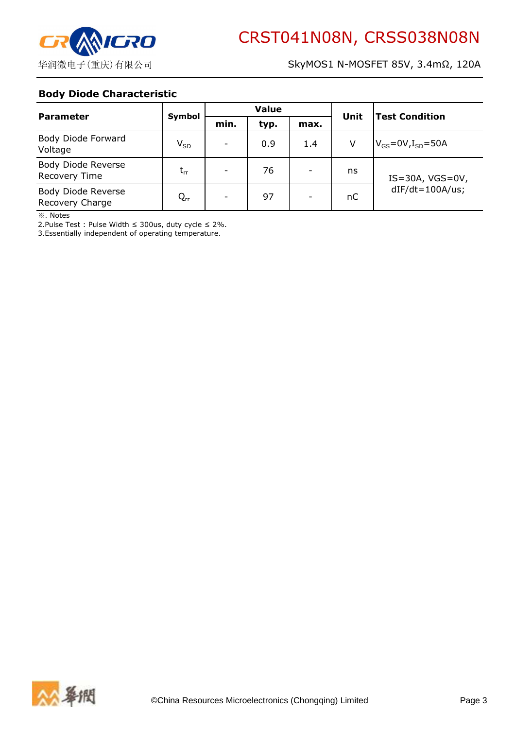

### Body Diode Characteristic

| <b>Parameter</b>                      | Symbol   | <b>Value</b> |      |      | Unit | <b>Test Condition</b>                            |
|---------------------------------------|----------|--------------|------|------|------|--------------------------------------------------|
|                                       |          | min.         | typ. | max. |      |                                                  |
| Body Diode Forward<br>Voltage         | $V_{SD}$ |              | 0.9  | 1.4  | v    | $V_{GS}$ =0V, $I_{SD}$ =50A                      |
| Body Diode Reverse<br>Recovery Time   | $t_{rr}$ |              | 76   |      | ns   | $IS = 30A$ , $VGS = 0V$ ,<br>$dIF/dt = 100A/us;$ |
| Body Diode Reverse<br>Recovery Charge | $Q_{rr}$ |              | 97   |      | nC   |                                                  |

※. Notes

2.Pulse Test : Pulse Width ≤ 300us, duty cycle ≤ 2%.

3.Essentially independent of operating temperature.

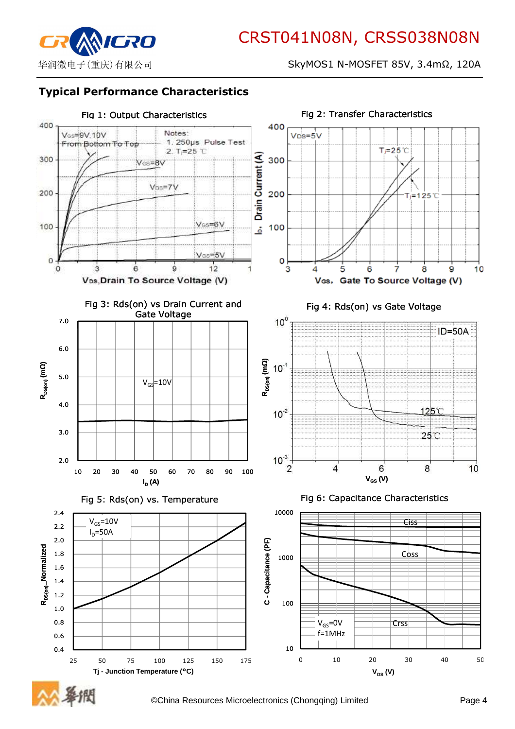

华润微电子(重庆)有限公司 SkyMOS1 N-MOSFET 85V, 3.4mΩ, 120A

## Typical Performance Characteristics



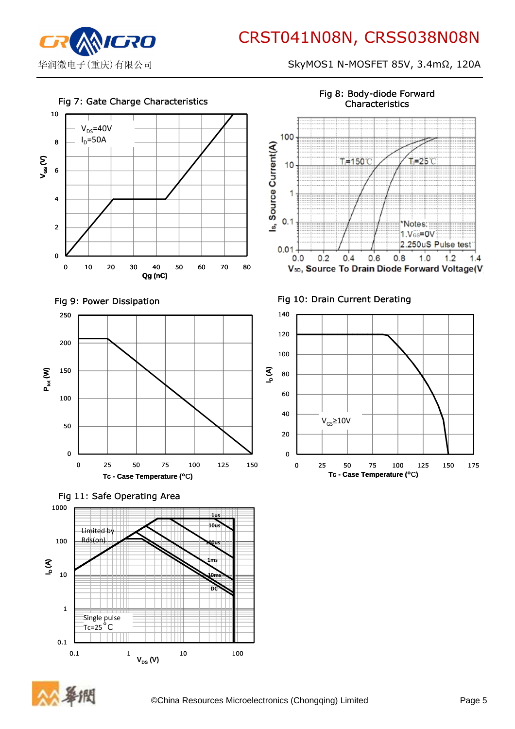

华润微电子(重庆)有限公司 SKyMOS1 N-MOSFET 85V, 3.4mΩ, 120A



Fig 8: Body-diode Forward Characteristics





0.1 1  $V_{DS}(V)$  10 100

0.1

1

Single pulse Tc=25˚C

10

DC

10ms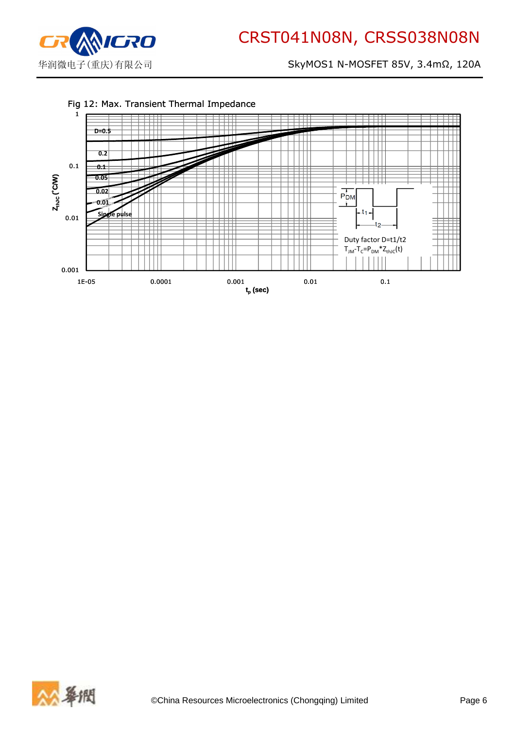

华润微电子(重庆)有限公司 SkyMOS1 N-MOSFET 85V, 3.4mΩ, 120A



#### Fig 12: Max. Transient Thermal Impedance

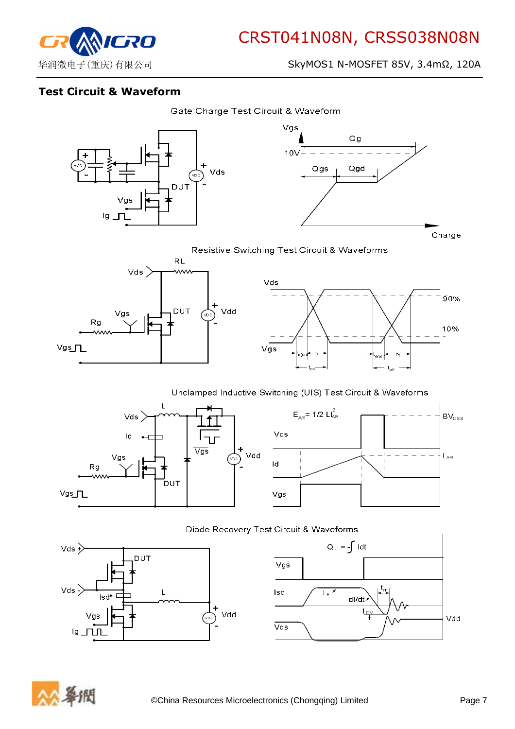

# Test Circuit & Waveform





Resistive Switching Test Circuit & Waveforms





#### Unclamped Inductive Switching (UIS) Test Circuit & Waveforms





 $Q_{\text{rr}} = -\int 1 dt$ 

dl/dt  $L_{\mathbb{R}^N}$ 

 $\overline{1_F}$ 







Vdd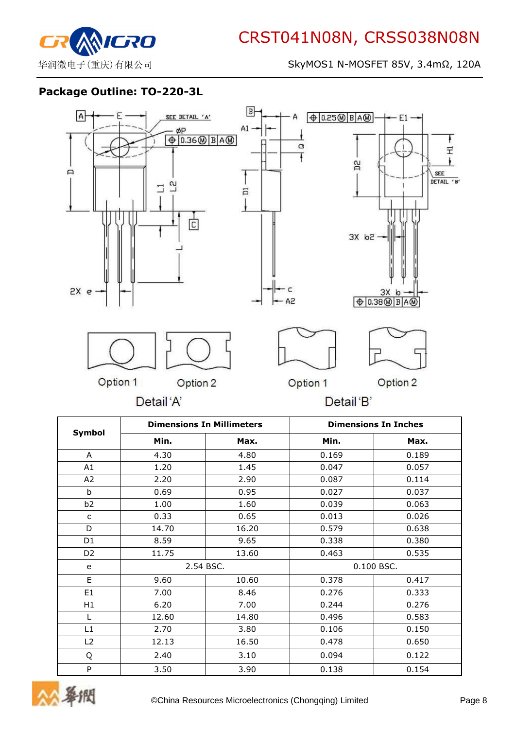

### Package Outline: TO-220-3L



|                |           | <b>Dimensions In Millimeters</b> |       | <b>Dimensions In Inches</b> |
|----------------|-----------|----------------------------------|-------|-----------------------------|
| Symbol         | Min.      | Max.                             | Min.  | Max.                        |
| A              | 4.30      | 4.80                             | 0.169 | 0.189                       |
| A1             | 1.20      | 1.45                             | 0.047 | 0.057                       |
| A2             | 2.20      | 2.90                             | 0.087 | 0.114                       |
| b              | 0.69      | 0.95                             | 0.027 | 0.037                       |
| b <sub>2</sub> | 1.00      | 1.60                             | 0.039 | 0.063                       |
| C              | 0.33      | 0.65                             | 0.013 | 0.026                       |
| D              | 14.70     | 16.20                            | 0.579 | 0.638                       |
| D <sub>1</sub> | 8.59      | 9.65                             | 0.338 | 0.380                       |
| D <sub>2</sub> | 11.75     | 13.60                            | 0.463 | 0.535                       |
| e              | 2.54 BSC. |                                  |       | 0.100 BSC.                  |
| E.             | 9.60      | 10.60                            | 0.378 | 0.417                       |
| E <sub>1</sub> | 7.00      | 8.46                             | 0.276 | 0.333                       |
| H1             | 6.20      | 7.00                             | 0.244 | 0.276                       |
| $\mathbf{L}$   | 12.60     | 14.80                            | 0.496 | 0.583                       |
| L1             | 2.70      | 3.80                             | 0.106 | 0.150                       |
| L2             | 12.13     | 16.50                            | 0.478 | 0.650                       |
| Q              | 2.40      | 3.10                             | 0.094 | 0.122                       |
| P              | 3.50      | 3.90                             | 0.138 | 0.154                       |

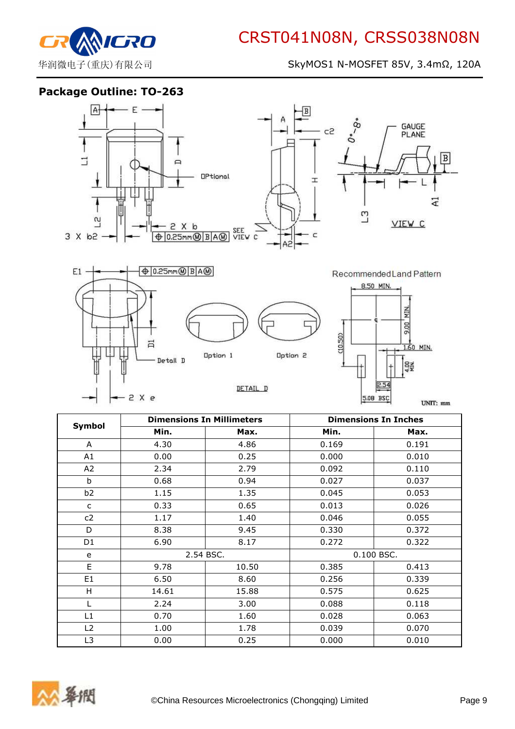

华润微电子(重庆)有限公司 SkyMOS1 N-MOSFET 85V, 3.4mΩ, 120A

5.08 BSC

UNIT: mm

Package Outline: TO-263

-2 X e



|                |           | <b>Dimensions In Millimeters</b> |       | <b>Dimensions In Inches</b> |
|----------------|-----------|----------------------------------|-------|-----------------------------|
| Symbol         | Min.      | Max.                             | Min.  | Max.                        |
| A              | 4.30      | 4.86                             | 0.169 | 0.191                       |
| A1             | 0.00      | 0.25                             | 0.000 | 0.010                       |
| A2             | 2.34      | 2.79                             | 0.092 | 0.110                       |
| b              | 0.68      | 0.94                             | 0.027 | 0.037                       |
| b <sub>2</sub> | 1.15      | 1.35                             | 0.045 | 0.053                       |
| $\mathsf{C}$   | 0.33      | 0.65                             | 0.013 | 0.026                       |
| c2             | 1.17      | 1.40                             | 0.046 | 0.055                       |
| D              | 8.38      | 9.45                             | 0.330 | 0.372                       |
| D <sub>1</sub> | 6.90      | 8.17                             | 0.272 | 0.322                       |
| e              | 2.54 BSC. |                                  |       | 0.100 BSC.                  |
| E              | 9.78      | 10.50                            | 0.385 | 0.413                       |
| E <sub>1</sub> | 6.50      | 8.60                             | 0.256 | 0.339                       |
| H              | 14.61     | 15.88                            | 0.575 | 0.625                       |
|                | 2.24      | 3.00                             | 0.088 | 0.118                       |
| L1             | 0.70      | 1.60                             | 0.028 | 0.063                       |
| L2             | 1.00      | 1.78                             | 0.039 | 0.070                       |
| L <sub>3</sub> | 0.00      | 0.25                             | 0.000 | 0.010                       |